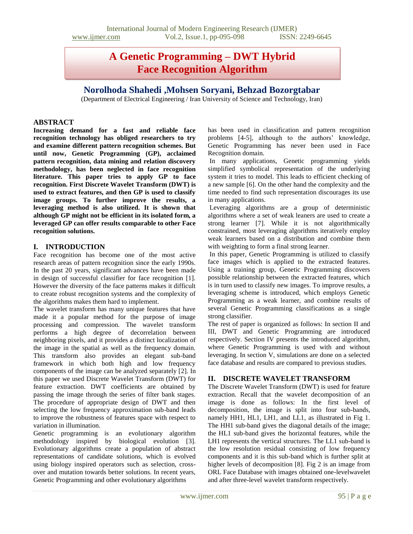# **A Genetic Programming – DWT Hybrid Face Recognition Algorithm**

## **Norolhoda Shahedi ,Mohsen Soryani, Behzad Bozorgtabar**

(Department of Electrical Engineering / Iran University of Science and Technology, Iran)

## **ABSTRACT**

**Increasing demand for a fast and reliable face recognition technology has obliged researchers to try and examine different pattern recognition schemes. But until now, Genetic Programming (GP), acclaimed pattern recognition, data mining and relation discovery methodology, has been neglected in face recognition literature. This paper tries to apply GP to face recognition. First Discrete Wavelet Transform (DWT) is used to extract features, and then GP is used to classify image groups. To further improve the results, a leveraging method is also utilized. It is shown that although GP might not be efficient in its isolated form, a leveraged GP can offer results comparable to other Face recognition solutions.**

### **I. INTRODUCTION**

Face recognition has become one of the most active research areas of pattern recognition since the early 1990s. In the past 20 years, significant advances have been made in design of successful classifier for face recognition [1]. However the diversity of the face patterns makes it difficult to create robust recognition systems and the complexity of the algorithms makes them hard to implement.

The wavelet transform has many unique features that have made it a popular method for the purpose of image processing and compression. The wavelet transform performs a high degree of decorrelation between neighboring pixels, and it provides a distinct localization of the image in the spatial as well as the frequency domain. This transform also provides an elegant sub-band framework in which both high and low frequency components of the image can be analyzed separately [2]. In this paper we used Discrete Wavelet Transform (DWT) for feature extraction. DWT coefficients are obtained by passing the image through the series of filter bank stages. The procedure of appropriate design of DWT and then selecting the low frequency approximation sub-band leads to improve the robustness of features space with respect to variation in illumination.

Genetic programming is an evolutionary algorithm methodology inspired by biological evolution [3]. Evolutionary algorithms create a population of abstract representations of candidate solutions, which is evolved using biology inspired operators such as selection, crossover and mutation towards better solutions. In recent years, Genetic Programming and other evolutionary algorithms

has been used in classification and pattern recognition problems [4-5], although to the authors' knowledge, Genetic Programming has never been used in Face Recognition domain.

In many applications, Genetic programming yields simplified symbolical representation of the underlying system it tries to model. This leads to efficient checking of a new sample [6]. On the other hand the complexity and the time needed to find such representation discourages its use in many applications.

Leveraging algorithms are a group of deterministic algorithms where a set of weak leaners are used to create a strong learner [7]. While it is not algorithmically constrained, most leveraging algorithms iteratively employ weak learners based on a distribution and combine them with weighting to form a final strong learner.

In this paper, Genetic Programming is utilized to classify face images which is applied to the extracted features. Using a training group, Genetic Programming discovers possible relationship between the extracted features, which is in turn used to classify new images. To improve results, a leveraging scheme is introduced, which employs Genetic Programming as a weak learner, and combine results of several Genetic Programming classifications as a single strong classifier.

The rest of paper is organized as follows: In section II and III, DWT and Genetic Programming are introduced respectively. Section IV presents the introduced algorithm, where Genetic Programming is used with and without leveraging. In section V, simulations are done on a selected face database and results are compared to previous studies.

#### **II. DISCRETE WAVELET TRANSFORM**

The Discrete Wavelet Transform (DWT) is used for feature extraction. Recall that the wavelet decomposition of an image is done as follows: In the first level of decomposition, the image is split into four sub-bands, namely HH1, HL1, LH1, and LL1, as illustrated in Fig 1. The HH1 sub-band gives the diagonal details of the image; the HL1 sub-band gives the horizontal features, while the LH1 represents the vertical structures. The LL1 sub-band is the low resolution residual consisting of low frequency components and it is this sub-band which is further split at higher levels of decomposition [8]. Fig 2 is an image from ORL Face Database with images obtained one-levelwavelet and after three-level wavelet transform respectively.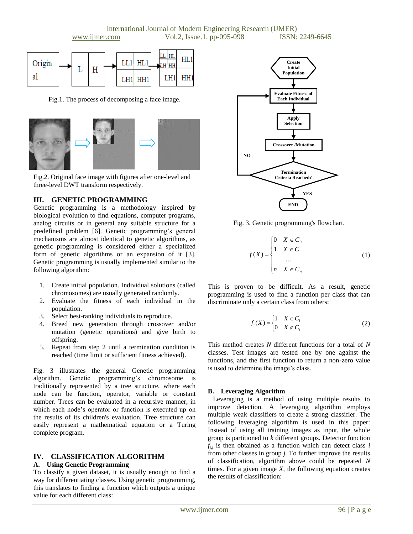

Fig.1. The process of decomposing a face image.



Fig.2. Original face image with figures after one-level and three-level DWT transform respectively.

## **III. GENETIC PROGRAMMING**

Genetic programming is a methodology inspired by biological evolution to find equations, computer programs, analog circuits or in general any suitable structure for a predefined problem [6]. Genetic programming's general mechanisms are almost identical to genetic algorithms, as genetic programming is considered either a specialized form of genetic algorithms or an expansion of it [3]. Genetic programming is usually implemented similar to the following algorithm:

- 1. Create initial population. Individual solutions (called chromosomes) are usually generated randomly.
- 2. Evaluate the fitness of each individual in the population.
- 3. Select best-ranking individuals to reproduce.
- 4. Breed new generation through crossover and/or mutation (genetic operations) and give birth to offspring.
- 5. Repeat from step 2 until a termination condition is reached (time limit or sufficient fitness achieved).

Fig. 3 illustrates the general Genetic programming algorithm. Genetic programming's chromosome is traditionally represented by a tree structure, where each node can be function, operator, variable or constant number. Trees can be evaluated in a recursive manner, in which each node's operator or function is executed up on the results of its children's evaluation. Tree structure can easily represent a mathematical equation or a Turing complete program.

## **IV. CLASSIFICATION ALGORITHM**

#### **A. Using Genetic Programming**

To classify a given dataset, it is usually enough to find a way for differentiating classes. Using genetic programming, this translates to finding a function which outputs a unique value for each different class:



Fig. 3. Genetic programming's flowchart.

$$
f(X) = \begin{cases} 0 & X \in C_0 \\ 1 & X \in C_1 \\ \dots \\ n & X \in C_n \end{cases} \tag{1}
$$

This is proven to be difficult. As a result, genetic programming is used to find a function per class that can discriminate only a certain class from others:

$$
f_i(X) = \begin{cases} 1 & X \in C_i \\ 0 & X \notin C_i \end{cases}
$$
 (2)

This method creates *N* different functions for a total of *N* classes. Test images are tested one by one against the functions, and the first function to return a non-zero value is used to determine the image's class.

#### **B. Leveraging Algorithm**

 Leveraging is a method of using multiple results to improve detection. A leveraging algorithm employs multiple weak classifiers to create a strong classifier*.* The following leveraging algorithm is used in this paper: Instead of using all training images as input, the whole group is partitioned to *k* different groups. Detector function  $f_{i,j}$  is then obtained as a function which can detect class *i* from other classes in group *j*. To further improve the results of classification, algorithm above could be repeated *N* times. For a given image  $X$ , the following equation creates the results of classification: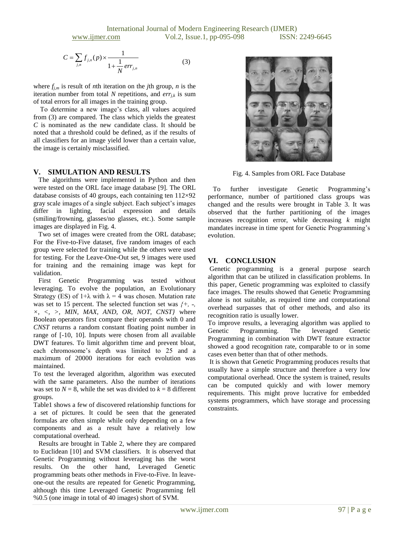International Journal of Modern Engineering Research (IJMER) www.ijmer.com Vol.2, Issue.1, pp-095-098 ISSN: 2249-6645

$$
C = \sum_{j,n} f_{j,n}(p) \times \frac{1}{1 + \frac{1}{N} \text{err}_{j,n}} \tag{3}
$$

where  $f_{i,m}$  is result of *n*th iteration on the *j*th group, *n* is the iteration number from total *N* repetitions, and  $err_{ik}$  is sum of total errors for all images in the training group.

 To determine a new image's class, all values acquired from (3) are compared. The class which yields the greatest *C* is nominated as the new candidate class. It should be noted that a threshold could be defined, as if the results of all classifiers for an image yield lower than a certain value, the image is certainly misclassified.

#### **V. SIMULATION AND RESULTS**

 The algorithms were implemented in Python and then were tested on the ORL face image database [9]. The ORL database consists of 40 groups, each containing ten  $112\times92$ gray scale images of a single subject. Each subject's images differ in lighting, facial expression and details (smiling/frowning, glasses/no glasses, etc.). Some sample images are displayed in Fig. 4.

 Two set of images were created from the ORL database; For the Five-to-Five dataset, five random images of each group were selected for training while the others were used for testing. For the Leave-One-Out set, 9 images were used for training and the remaining image was kept for validation.

 First Genetic Programming was tested without leveraging. To evolve the population, an Evolutionary Strategy (ES) of  $1+\lambda$  with  $\lambda = 4$  was chosen. Mutation rate was set to 15 percent. The selected function set was  $\{+, \text{-}, \text{-}\}$ *×, <, >, MIN, MAX, AND, OR, NOT, CNST}* where Boolean operators first compare their operands with 0 and *CNST* returns a random constant floating point number in range of [-10, 10]. Inputs were chosen from all available DWT features. To limit algorithm time and prevent bloat, each chromosome's depth was limited to 25 and a maximum of 20000 iterations for each evolution was maintained.

To test the leveraged algorithm, algorithm was executed with the same parameters. Also the number of iterations was set to  $N = 8$ , while the set was divided to  $k = 8$  different groups.

Table1 shows a few of discovered relationship functions for a set of pictures. It could be seen that the generated formulas are often simple while only depending on a few components and as a result have a relatively low computational overhead.

 Results are brought in Table 2, where they are compared to Euclidean [10] and SVM classifiers. It is observed that Genetic Programming without leveraging has the worst results. On the other hand, Leveraged Genetic programming beats other methods in Five-to-Five. In leaveone-out the results are repeated for Genetic Programming, although this time Leveraged Genetic Programming fell %0.5 (one image in total of 40 images) short of SVM.



Fig. 4. Samples from ORL Face Database

 To further investigate Genetic Programming's performance, number of partitioned class groups was changed and the results were brought in Table 3. It was observed that the further partitioning of the images increases recognition error, while decreasing *k* might mandates increase in time spent for Genetic Programming's evolution.

#### **VI. CONCLUSION**

Genetic programming is a general purpose search algorithm that can be utilized in classification problems. In this paper, Genetic programming was exploited to classify face images. The results showed that Genetic Programming alone is not suitable, as required time and computational overhead surpasses that of other methods, and also its recognition ratio is usually lower.

To improve results, a leveraging algorithm was applied to Genetic Programming. The leveraged Genetic Programming in combination with DWT feature extractor showed a good recognition rate, comparable to or in some cases even better than that of other methods.

It is shown that Genetic Programming produces results that usually have a simple structure and therefore a very low computational overhead. Once the system is trained, results can be computed quickly and with lower memory requirements. This might prove lucrative for embedded systems programmers, which have storage and processing constraints.